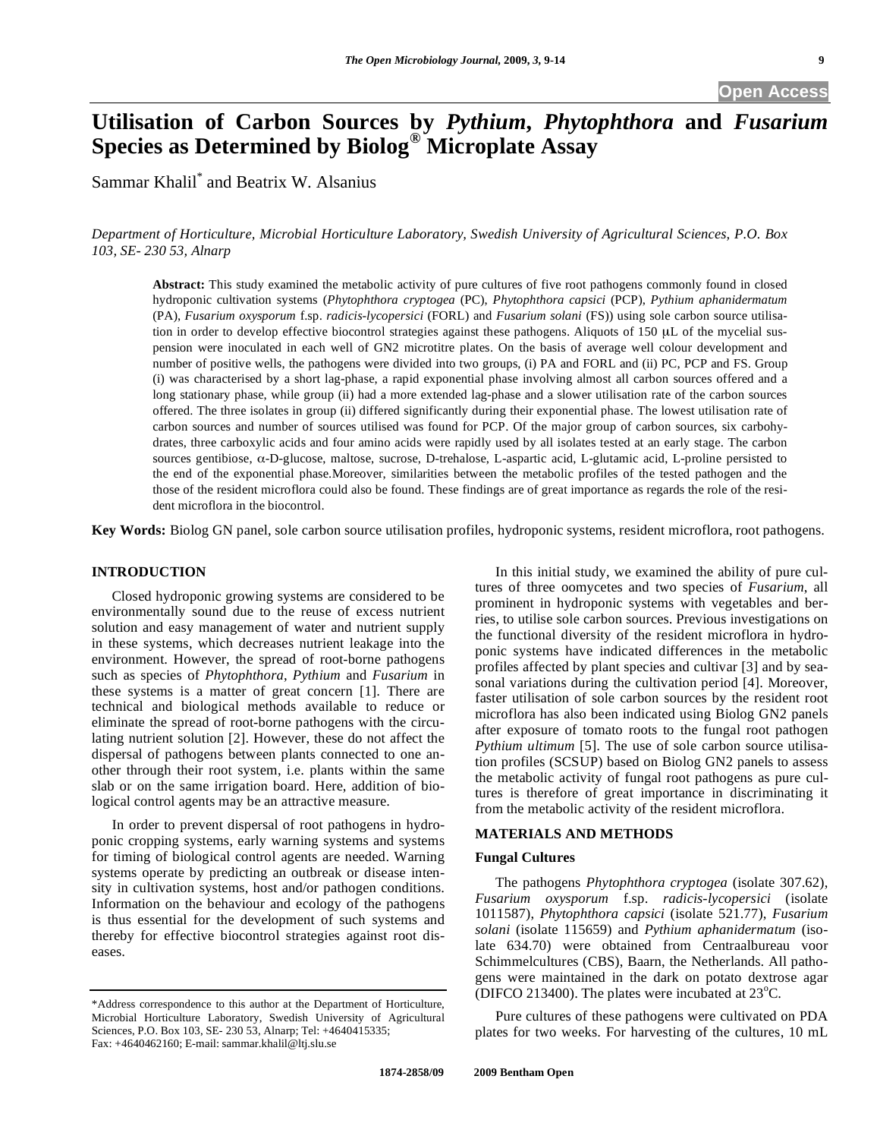# **Utilisation of Carbon Sources by** *Pythium***,** *Phytophthora* **and** *Fusarium* **Species as Determined by Biolog® Microplate Assay**

Sammar Khalil<sup>\*</sup> and Beatrix W. Alsanius

*Department of Horticulture, Microbial Horticulture Laboratory, Swedish University of Agricultural Sciences, P.O. Box 103, SE- 230 53, Alnarp*

**Abstract:** This study examined the metabolic activity of pure cultures of five root pathogens commonly found in closed hydroponic cultivation systems (*Phytophthora cryptogea* (PC), *Phytophthora capsici* (PCP), *Pythium aphanidermatum* (PA), *Fusarium oxysporum* f.sp. *radicis-lycopersici* (FORL) and *Fusarium solani* (FS)) using sole carbon source utilisation in order to develop effective biocontrol strategies against these pathogens. Aliquots of 150 μL of the mycelial suspension were inoculated in each well of GN2 microtitre plates. On the basis of average well colour development and number of positive wells, the pathogens were divided into two groups, (i) PA and FORL and (ii) PC, PCP and FS. Group (i) was characterised by a short lag-phase, a rapid exponential phase involving almost all carbon sources offered and a long stationary phase, while group (ii) had a more extended lag-phase and a slower utilisation rate of the carbon sources offered. The three isolates in group (ii) differed significantly during their exponential phase. The lowest utilisation rate of carbon sources and number of sources utilised was found for PCP. Of the major group of carbon sources, six carbohydrates, three carboxylic acids and four amino acids were rapidly used by all isolates tested at an early stage. The carbon sources gentibiose,  $\alpha$ -D-glucose, maltose, sucrose, D-trehalose, L-aspartic acid, L-glutamic acid, L-proline persisted to the end of the exponential phase.Moreover, similarities between the metabolic profiles of the tested pathogen and the those of the resident microflora could also be found. These findings are of great importance as regards the role of the resident microflora in the biocontrol.

**Key Words:** Biolog GN panel, sole carbon source utilisation profiles, hydroponic systems, resident microflora, root pathogens.

## **INTRODUCTION**

 Closed hydroponic growing systems are considered to be environmentally sound due to the reuse of excess nutrient solution and easy management of water and nutrient supply in these systems, which decreases nutrient leakage into the environment. However, the spread of root-borne pathogens such as species of *Phytophthora*, *Pythium* and *Fusarium* in these systems is a matter of great concern [1]. There are technical and biological methods available to reduce or eliminate the spread of root-borne pathogens with the circulating nutrient solution [2]. However, these do not affect the dispersal of pathogens between plants connected to one another through their root system, i.e. plants within the same slab or on the same irrigation board. Here, addition of biological control agents may be an attractive measure.

 In order to prevent dispersal of root pathogens in hydroponic cropping systems, early warning systems and systems for timing of biological control agents are needed. Warning systems operate by predicting an outbreak or disease intensity in cultivation systems, host and/or pathogen conditions. Information on the behaviour and ecology of the pathogens is thus essential for the development of such systems and thereby for effective biocontrol strategies against root diseases.

 In this initial study, we examined the ability of pure cultures of three oomycetes and two species of *Fusarium*, all prominent in hydroponic systems with vegetables and berries, to utilise sole carbon sources. Previous investigations on the functional diversity of the resident microflora in hydroponic systems have indicated differences in the metabolic profiles affected by plant species and cultivar [3] and by seasonal variations during the cultivation period [4]. Moreover, faster utilisation of sole carbon sources by the resident root microflora has also been indicated using Biolog GN2 panels after exposure of tomato roots to the fungal root pathogen *Pythium ultimum* [5]. The use of sole carbon source utilisation profiles (SCSUP) based on Biolog GN2 panels to assess the metabolic activity of fungal root pathogens as pure cultures is therefore of great importance in discriminating it from the metabolic activity of the resident microflora.

## **MATERIALS AND METHODS**

## **Fungal Cultures**

 The pathogens *Phytophthora cryptogea* (isolate 307.62), *Fusarium oxysporum* f.sp. *radicis*-*lycopersici* (isolate 1011587), *Phytophthora capsici* (isolate 521.77), *Fusarium solani* (isolate 115659) and *Pythium aphanidermatum* (isolate 634.70) were obtained from Centraalbureau voor Schimmelcultures (CBS), Baarn, the Netherlands. All pathogens were maintained in the dark on potato dextrose agar (DIFCO 213400). The plates were incubated at  $23^{\circ}$ C.

 Pure cultures of these pathogens were cultivated on PDA plates for two weeks. For harvesting of the cultures, 10 mL

<sup>\*</sup>Address correspondence to this author at the Department of Horticulture, Microbial Horticulture Laboratory, Swedish University of Agricultural Sciences, P.O. Box 103, SE- 230 53, Alnarp; Tel: +4640415335; Fax: +4640462160; E-mail: sammar.khalil@ltj.slu.se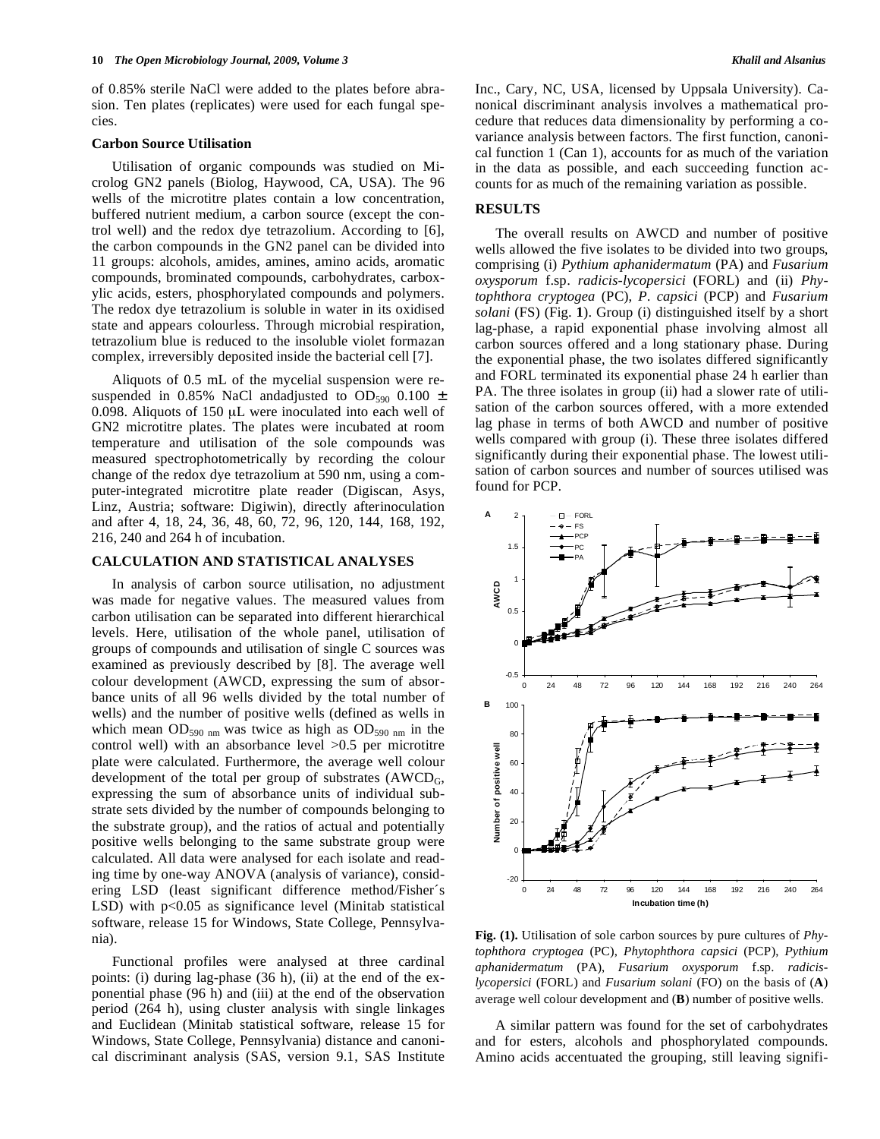of 0.85% sterile NaCl were added to the plates before abrasion. Ten plates (replicates) were used for each fungal species.

#### **Carbon Source Utilisation**

 Utilisation of organic compounds was studied on Microlog GN2 panels (Biolog, Haywood, CA, USA). The 96 wells of the microtitre plates contain a low concentration, buffered nutrient medium, a carbon source (except the control well) and the redox dye tetrazolium. According to [6], the carbon compounds in the GN2 panel can be divided into 11 groups: alcohols, amides, amines, amino acids, aromatic compounds, brominated compounds, carbohydrates, carboxylic acids, esters, phosphorylated compounds and polymers. The redox dye tetrazolium is soluble in water in its oxidised state and appears colourless. Through microbial respiration, tetrazolium blue is reduced to the insoluble violet formazan complex, irreversibly deposited inside the bacterial cell [7].

 Aliquots of 0.5 mL of the mycelial suspension were resuspended in 0.85% NaCl andadjusted to OD<sub>590</sub> 0.100  $\pm$ 0.098. Aliquots of 150 μL were inoculated into each well of GN2 microtitre plates. The plates were incubated at room temperature and utilisation of the sole compounds was measured spectrophotometrically by recording the colour change of the redox dye tetrazolium at 590 nm, using a computer-integrated microtitre plate reader (Digiscan, Asys, Linz, Austria; software: Digiwin), directly afterinoculation and after 4, 18, 24, 36, 48, 60, 72, 96, 120, 144, 168, 192, 216, 240 and 264 h of incubation.

#### **CALCULATION AND STATISTICAL ANALYSES**

 In analysis of carbon source utilisation, no adjustment was made for negative values. The measured values from carbon utilisation can be separated into different hierarchical levels. Here, utilisation of the whole panel, utilisation of groups of compounds and utilisation of single C sources was examined as previously described by [8]. The average well colour development (AWCD, expressing the sum of absorbance units of all 96 wells divided by the total number of wells) and the number of positive wells (defined as wells in which mean  $OD_{590 \text{ nm}}$  was twice as high as  $OD_{590 \text{ nm}}$  in the control well) with an absorbance level >0.5 per microtitre plate were calculated. Furthermore, the average well colour development of the total per group of substrates  $(AWCD<sub>G</sub>,$ expressing the sum of absorbance units of individual substrate sets divided by the number of compounds belonging to the substrate group), and the ratios of actual and potentially positive wells belonging to the same substrate group were calculated. All data were analysed for each isolate and reading time by one-way ANOVA (analysis of variance), considering LSD (least significant difference method/Fisher´s LSD) with  $p<0.05$  as significance level (Minitab statistical software, release 15 for Windows, State College, Pennsylvania).

 Functional profiles were analysed at three cardinal points: (i) during lag-phase (36 h), (ii) at the end of the exponential phase (96 h) and (iii) at the end of the observation period (264 h), using cluster analysis with single linkages and Euclidean (Minitab statistical software, release 15 for Windows, State College, Pennsylvania) distance and canonical discriminant analysis (SAS, version 9.1, SAS Institute Inc., Cary, NC, USA, licensed by Uppsala University). Canonical discriminant analysis involves a mathematical procedure that reduces data dimensionality by performing a covariance analysis between factors. The first function, canonical function 1 (Can 1), accounts for as much of the variation in the data as possible, and each succeeding function accounts for as much of the remaining variation as possible.

#### **RESULTS**

 The overall results on AWCD and number of positive wells allowed the five isolates to be divided into two groups, comprising (i) *Pythium aphanidermatum* (PA) and *Fusarium oxysporum* f.sp. *radicis-lycopersici* (FORL) and (ii) *Phytophthora cryptogea* (PC), *P. capsici* (PCP) and *Fusarium solani* (FS) (Fig. **1**). Group (i) distinguished itself by a short lag-phase, a rapid exponential phase involving almost all carbon sources offered and a long stationary phase. During the exponential phase, the two isolates differed significantly and FORL terminated its exponential phase 24 h earlier than PA. The three isolates in group (ii) had a slower rate of utilisation of the carbon sources offered, with a more extended lag phase in terms of both AWCD and number of positive wells compared with group (i). These three isolates differed significantly during their exponential phase. The lowest utilisation of carbon sources and number of sources utilised was found for PCP.



**Fig. (1).** Utilisation of sole carbon sources by pure cultures of *Phytophthora cryptogea* (PC), *Phytophthora capsici* (PCP), *Pythium aphanidermatum* (PA), *Fusarium oxysporum* f.sp. *radicislycopersici* (FORL) and *Fusarium solani* (FO) on the basis of (**A**) average well colour development and (**B**) number of positive wells.

 A similar pattern was found for the set of carbohydrates and for esters, alcohols and phosphorylated compounds. Amino acids accentuated the grouping, still leaving signifi-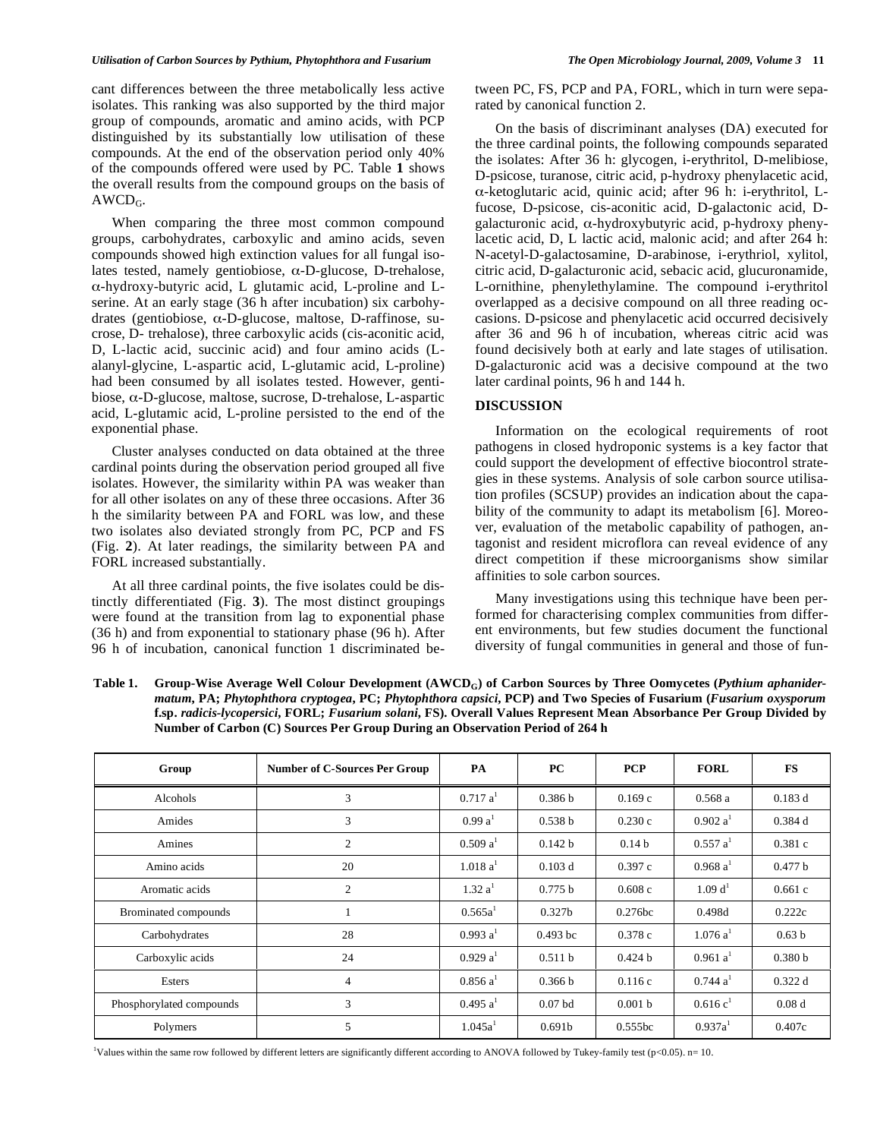#### *Utilisation of Carbon Sources by Pythium, Phytophthora and Fusarium The Open Microbiology Journal, 2009, Volume 3* **11**

cant differences between the three metabolically less active isolates. This ranking was also supported by the third major group of compounds, aromatic and amino acids, with PCP distinguished by its substantially low utilisation of these compounds. At the end of the observation period only 40% of the compounds offered were used by PC. Table **1** shows the overall results from the compound groups on the basis of  $AWCD<sub>G</sub>$ .

 When comparing the three most common compound groups, carbohydrates, carboxylic and amino acids, seven compounds showed high extinction values for all fungal isolates tested, namely gentiobiose,  $\alpha$ -D-glucose, D-trehalose,  $\alpha$ -hydroxy-butyric acid, L glutamic acid, L-proline and Lserine. At an early stage (36 h after incubation) six carbohydrates (gentiobiose,  $\alpha$ -D-glucose, maltose, D-raffinose, sucrose, D- trehalose), three carboxylic acids (cis-aconitic acid, D, L-lactic acid, succinic acid) and four amino acids (Lalanyl-glycine, L-aspartic acid, L-glutamic acid, L-proline) had been consumed by all isolates tested. However, gentibiose,  $\alpha$ -D-glucose, maltose, sucrose, D-trehalose, L-aspartic acid, L-glutamic acid, L-proline persisted to the end of the exponential phase.

 Cluster analyses conducted on data obtained at the three cardinal points during the observation period grouped all five isolates. However, the similarity within PA was weaker than for all other isolates on any of these three occasions. After 36 h the similarity between PA and FORL was low, and these two isolates also deviated strongly from PC, PCP and FS (Fig. **2**). At later readings, the similarity between PA and FORL increased substantially.

 At all three cardinal points, the five isolates could be distinctly differentiated (Fig. **3**). The most distinct groupings were found at the transition from lag to exponential phase (36 h) and from exponential to stationary phase (96 h). After 96 h of incubation, canonical function 1 discriminated between PC, FS, PCP and PA, FORL, which in turn were separated by canonical function 2.

 On the basis of discriminant analyses (DA) executed for the three cardinal points, the following compounds separated the isolates: After 36 h: glycogen, i-erythritol, D-melibiose, D-psicose, turanose, citric acid, p-hydroxy phenylacetic acid,  $\alpha$ -ketoglutaric acid, quinic acid; after 96 h: i-erythritol, Lfucose, D-psicose, cis-aconitic acid, D-galactonic acid, Dgalacturonic acid,  $\alpha$ -hydroxybutyric acid, p-hydroxy phenylacetic acid, D, L lactic acid, malonic acid; and after 264 h: N-acetyl-D-galactosamine, D-arabinose, i-erythriol, xylitol, citric acid, D-galacturonic acid, sebacic acid, glucuronamide, L-ornithine, phenylethylamine. The compound i-erythritol overlapped as a decisive compound on all three reading occasions. D-psicose and phenylacetic acid occurred decisively after 36 and 96 h of incubation, whereas citric acid was found decisively both at early and late stages of utilisation. D-galacturonic acid was a decisive compound at the two later cardinal points, 96 h and 144 h.

### **DISCUSSION**

 Information on the ecological requirements of root pathogens in closed hydroponic systems is a key factor that could support the development of effective biocontrol strategies in these systems. Analysis of sole carbon source utilisation profiles (SCSUP) provides an indication about the capability of the community to adapt its metabolism [6]. Moreover, evaluation of the metabolic capability of pathogen, antagonist and resident microflora can reveal evidence of any direct competition if these microorganisms show similar affinities to sole carbon sources.

 Many investigations using this technique have been performed for characterising complex communities from different environments, but few studies document the functional diversity of fungal communities in general and those of fun-

Table 1. Group-Wise Average Well Colour Development (AWCD<sub>G</sub>) of Carbon Sources by Three Oomycetes (*Pythium aphanidermatum***, PA;** *Phytophthora cryptogea***, PC;** *Phytophthora capsici***, PCP) and Two Species of Fusarium (***Fusarium oxysporum* **f.sp.** *radicis-lycopersici***, FORL;** *Fusarium solani***, FS). Overall Values Represent Mean Absorbance Per Group Divided by Number of Carbon (C) Sources Per Group During an Observation Period of 264 h** 

| Group                    | <b>Number of C-Sources Per Group</b> | PA                   | <b>PC</b>          | <b>PCP</b>        | <b>FORL</b>          | <b>FS</b>          |
|--------------------------|--------------------------------------|----------------------|--------------------|-------------------|----------------------|--------------------|
| Alcohols                 | 3                                    | 0.717 a <sup>1</sup> | 0.386 b            | 0.169c            | 0.568a               | 0.183d             |
| Amides                   | 3                                    | 0.99 a <sup>1</sup>  | 0.538 b            | 0.230c            | 0.902 a <sup>1</sup> | 0.384d             |
| Amines                   | 2                                    | 0.509 a <sup>1</sup> | 0.142 b            | 0.14 <sub>b</sub> | 0.557 a <sup>1</sup> | 0.381c             |
| Amino acids              | 20                                   | 1.018 a <sup>1</sup> | $0.103$ d          | 0.397c            | 0.968 a <sup>1</sup> | 0.477 b            |
| Aromatic acids           | $\overline{2}$                       | 1.32 a <sup>1</sup>  | 0.775 b            | 0.608c            | 1.09 d <sup>1</sup>  | 0.661c             |
| Brominated compounds     |                                      | 0.565a <sup>1</sup>  | 0.327 <sub>b</sub> | 0.276bc           | 0.498d               | 0.222c             |
| Carbohydrates            | 28                                   | 0.993 a <sup>1</sup> | $0.493$ bc         | 0.378c            | 1.076 a <sup>1</sup> | 0.63 <sub>b</sub>  |
| Carboxylic acids         | 24                                   | 0.929 a <sup>1</sup> | 0.511 b            | 0.424 b           | 0.961 a <sup>1</sup> | 0.380 <sub>b</sub> |
| Esters                   | 4                                    | 0.856 a <sup>1</sup> | 0.366 b            | 0.116c            | 0.744 a <sup>1</sup> | 0.322d             |
| Phosphorylated compounds | 3                                    | 0.495 a <sup>1</sup> | $0.07$ bd          | 0.001 b           | 0.616c <sup>1</sup>  | 0.08 <sub>d</sub>  |
| Polymers                 | 5                                    | 1.045a <sup>1</sup>  | 0.691 <sub>b</sub> | 0.555bc           | 0.937a <sup>1</sup>  | 0.407c             |

1 Values within the same row followed by different letters are significantly different according to ANOVA followed by Tukey-family test (p<0.05). n= 10.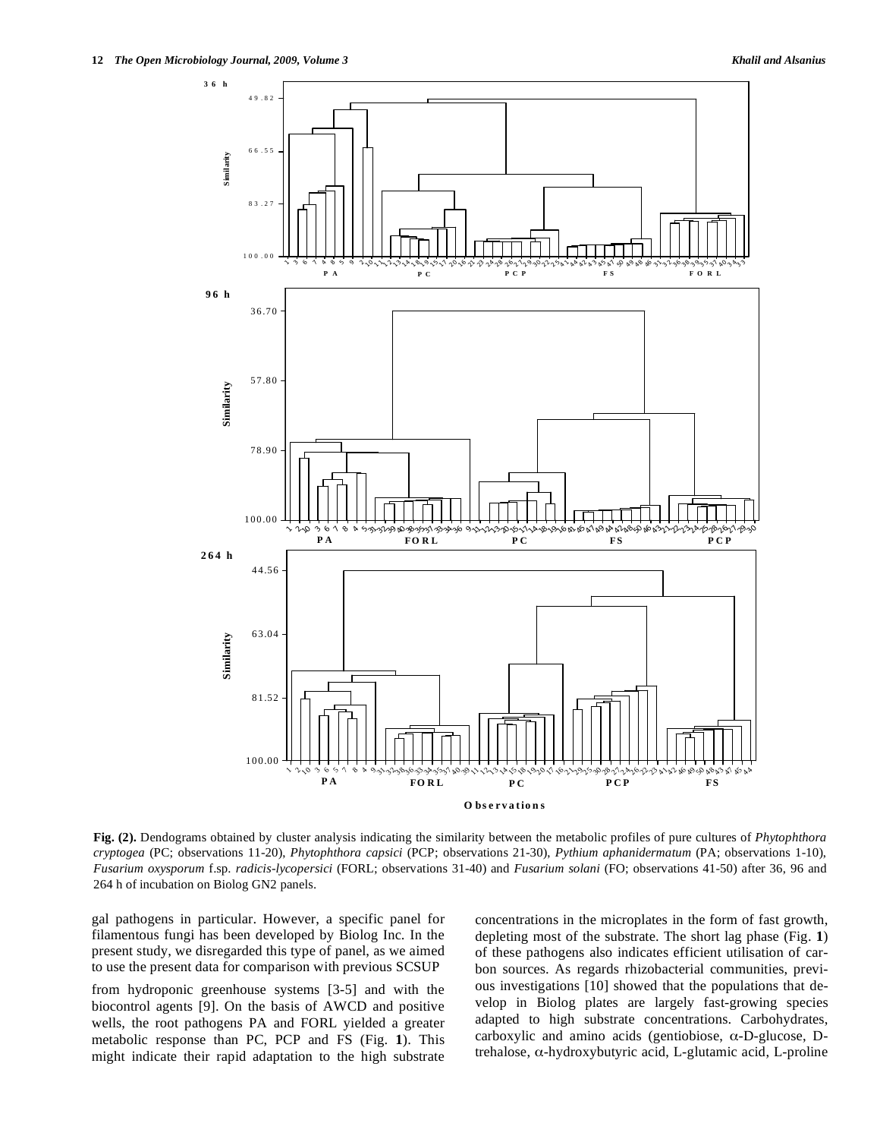

**Fig. (2).** Dendograms obtained by cluster analysis indicating the similarity between the metabolic profiles of pure cultures of *Phytophthora cryptogea* (PC; observations 11-20), *Phytophthora capsici* (PCP; observations 21-30), *Pythium aphanidermatum* (PA; observations 1-10), *Fusarium oxysporum* f.sp. *radicis-lycopersici* (FORL; observations 31-40) and *Fusarium solani* (FO; observations 41-50) after 36, 96 and 264 h of incubation on Biolog GN2 panels.

gal pathogens in particular. However, a specific panel for filamentous fungi has been developed by Biolog Inc. In the present study, we disregarded this type of panel, as we aimed to use the present data for comparison with previous SCSUP

from hydroponic greenhouse systems [3-5] and with the biocontrol agents [9]. On the basis of AWCD and positive wells, the root pathogens PA and FORL yielded a greater metabolic response than PC, PCP and FS (Fig. **1**). This might indicate their rapid adaptation to the high substrate concentrations in the microplates in the form of fast growth, depleting most of the substrate. The short lag phase (Fig. **1**) of these pathogens also indicates efficient utilisation of carbon sources. As regards rhizobacterial communities, previous investigations [10] showed that the populations that develop in Biolog plates are largely fast-growing species adapted to high substrate concentrations. Carbohydrates, carboxylic and amino acids (gentiobiose,  $\alpha$ -D-glucose, Dtrehalose,  $\alpha$ -hydroxybutyric acid, L-glutamic acid, L-proline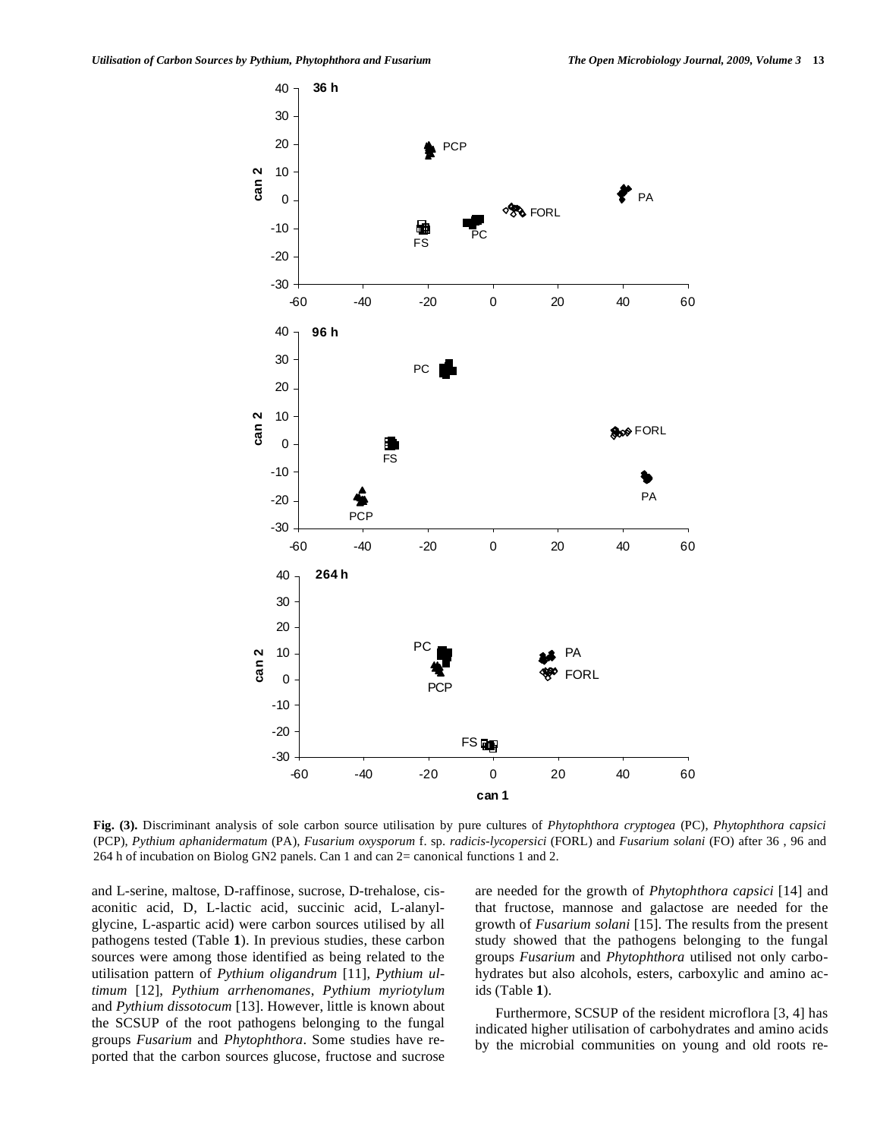

**Fig. (3).** Discriminant analysis of sole carbon source utilisation by pure cultures of *Phytophthora cryptogea* (PC), *Phytophthora capsici* (PCP), *Pythium aphanidermatum* (PA), *Fusarium oxysporum* f. sp. *radicis-lycopersici* (FORL) and *Fusarium solani* (FO) after 36 , 96 and 264 h of incubation on Biolog GN2 panels. Can 1 and can 2= canonical functions 1 and 2.

and L-serine, maltose, D-raffinose, sucrose, D-trehalose, cisaconitic acid, D, L-lactic acid, succinic acid, L-alanylglycine, L-aspartic acid) were carbon sources utilised by all pathogens tested (Table **1**). In previous studies, these carbon sources were among those identified as being related to the utilisation pattern of *Pythium oligandrum* [11], *Pythium ultimum* [12], *Pythium arrhenomanes*, *Pythium myriotylum* and *Pythium dissotocum* [13]. However, little is known about the SCSUP of the root pathogens belonging to the fungal groups *Fusarium* and *Phytophthora*. Some studies have reported that the carbon sources glucose, fructose and sucrose are needed for the growth of *Phytophthora capsici* [14] and that fructose, mannose and galactose are needed for the growth of *Fusarium solani* [15]. The results from the present study showed that the pathogens belonging to the fungal groups *Fusarium* and *Phytophthora* utilised not only carbohydrates but also alcohols, esters, carboxylic and amino acids (Table **1**).

 Furthermore, SCSUP of the resident microflora [3, 4] has indicated higher utilisation of carbohydrates and amino acids by the microbial communities on young and old roots re